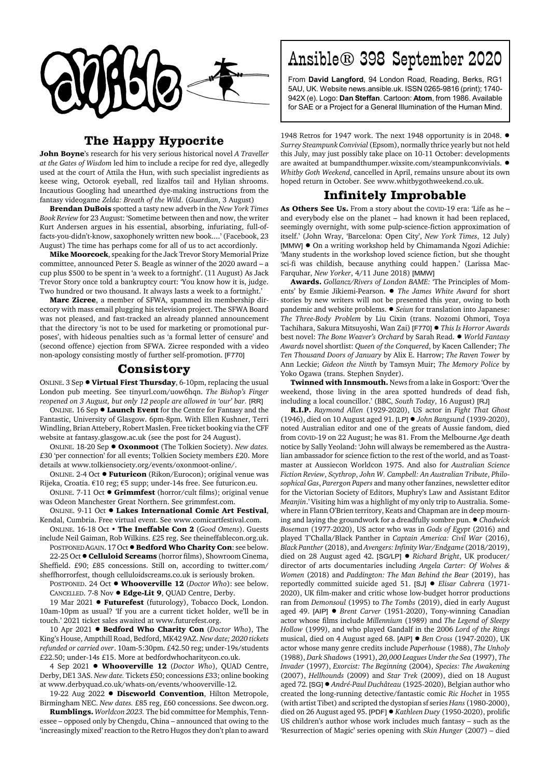

## **The Happy Hypocrite**

**John Boyne**'s research for his very serious historical novel *A Traveller at the Gates of Wisdom* led him to include a recipe for red dye, allegedly used at the court of Attila the Hun, with such specialist ingredients as keese wing, Octorok eyeball, red lizalfos tail and Hylian shrooms. Incautious Googling had unearthed dye-making instructions from the fantasy videogame *Zelda: Breath of the Wild*. (*Guardian*, 3 August)

**Brendan DuBois** spotted a tasty new adverb in the *New York Times Book Review* for 23 August: 'Sometime between then and now, the writer Kurt Andersen argues in his essential, absorbing, infuriating, full-offacts-you-didn't-know, saxophonely written new book....' (Facebook, 23 August) The time has perhaps come for all of us to act accordionly.

**Mike Moorcock**, speaking for the Jack Trevor Story Memorial Prize committee, announced Peter S. Beagle as winner of the 2020 award – a cup plus \$500 to be spent in 'a week to a fortnight'. (11 August) As Jack Trevor Story once told a bankruptcy court: 'You know how it is, judge. Two hundred or two thousand. It always lasts a week to a fortnight.'

**Marc Zicree**, a member of SFWA, spammed its membership directory with mass email plugging his television project. The SFWA Board was not pleased, and fast-tracked an already planned announcement that the directory 'is not to be used for marketing or promotional purposes', with hideous penalties such as 'a formal letter of censure' and (second offence) ejection from SFWA. Zicree responded with a video non-apology consisting mostly of further self-promotion. [F770]

## **Consistory**

ONLINE. 3 Sep ! **Virtual First Thursday**, 6-10pm, replacing the usual London pub meeting. See tinyurl.com/uow6hqn. *The Bishop's Finger reopened on 3 August, but only 12 people are allowed in 'our' bar.* [RR]

ONLINE. 16 Sep  $\bullet$  **Launch Event** for the Centre for Fantasy and the Fantastic, University of Glasgow. 6pm-8pm. With Ellen Kushner, Terri Windling, Brian Attebery, Robert Maslen. Free ticket booking via the CFF website at fantasy.glasgow.ac.uk (see the post for 24 August).

ONLINE. 18-20 Sep ! **Oxonmoot** (The Tolkien Society). *New dates.* £30 'per connection' for all events; Tolkien Society members £20. More details at www.tolkiensociety.org/events/oxonmoot-online/.

ONLINE. 2-4 Oct ! **Futuricon** (Rikon/Eurocon); original venue was Rijeka, Croatia. €10 reg; €5 supp; under-14s free. See futuricon.eu.

ONLINE. 7-11 Oct ! **Grimmfest** (horror/cult films); original venue was Odeon Manchester Great Northern. See grimmfest.com.

ONLINE. 9-11 Oct ! **Lakes International Comic Art Festival**, Kendal, Cumbria. Free virtual event. See www.comicartfestival.com.

ONLINE. 16-18 Oct • **The Ineffable Con 2** (*Good Omens*). Guests include Neil Gaiman, Rob Wilkins. £25 reg. See theineffablecon.org.uk. POSTPONED AGAIN. 17 Oct !**Bedford Who Charity Con**: see below.

22-25 Oct !**Celluloid Screams** (horror films), Showroom Cinema, Sheffield. £90; £85 concessions. Still on, according to twitter.com/ sheffhorrorfest, though celluloidscreams.co.uk is seriously broken.

POSTPONED. 24 Oct ! **Whooverville 12** (*Doctor Who*): see below. CANCELLED. 7-8 Nov ! **Edge-Lit 9**, QUAD Centre, Derby.

19 Mar 2021 **· Futurefest** (futurology), Tobacco Dock, London. 10am-10pm as usual? 'If you are a current ticket holder, we'll be in touch.' 2021 ticket sales awaited at www.futurefest.org.

10 Apr 2021 ! **Bedford Who Charity Con** (*Doctor Who*), The King's House, Ampthill Road, Bedford, MK42 9AZ. *New date; 2020 tickets refunded or carried over*. 10am-5:30pm. £42.50 reg; under-19s/students £22.50; under-14s £15. More at bedfordwhocharitycon.co.uk.

4 Sep 2021 **· Whooverville 12** (*Doctor Who*), QUAD Centre, Derby, DE1 3AS. *New date.* Tickets £50; concessions £33; online booking at www.derbyquad.co.uk/whats-on/events/whooverville-12.

19-22 Aug 2022 . Discworld Convention, Hilton Metropole, Birmingham NEC. *New dates.* £85 reg, £60 concessions. See dwcon.org.

**Rumblings.** *Worldcon 2023.* The bid committee for Memphis, Tennessee – opposed only by Chengdu, China – announced that owing to the 'increasingly mixed' reaction to the Retro Hugos they don't plan to award

## Ansible® 398 September 2020

From **David Langford**, 94 London Road, Reading, Berks, RG1 5AU, UK. Website news.ansible.uk. ISSN 0265-9816 (print); 1740- 942X (e). Logo: **Dan Steffan**. Cartoon: **Atom**, from 1986. Available for SAE or a Project for a General Illumination of the Human Mind.

1948 Retros for 1947 work. The next 1948 opportunity is in 2048.  $\bullet$ *Surrey Steampunk Convivial* (Epsom), normally thrice yearly but not held this July, may just possibly take place on 10-11 October: developments are awaited at bumpandthumper.wixsite.com/steampunkconvivials.  $\bullet$ *Whitby Goth Weekend*, cancelled in April, remains unsure about its own hoped return in October. See www.whitbygothweekend.co.uk.

## **Infinitely Improbable**

**As Others See Us.** From a story about the COVID-19 era: 'Life as he – and everybody else on the planet – had known it had been replaced, seemingly overnight, with some pulp-science-fiction approximation of itself.' (John Wray, 'Barcelona: Open City', *New York Times*, 12 July) [MMW] ! On a writing workshop held by Chimamanda Ngozi Adichie: 'Many students in the workshop loved science fiction, but she thought sci-fi was childish, because anything could happen.' (Larissa Mac-Farquhar, *New Yorker*, 4/11 June 2018) [MMW]

**Awards.** *Gollancz/Rivers of London BAME:* 'The Principles of Moments' by Esmie Jikiemi-Pearson. ! *The James White Award* for short stories by new writers will not be presented this year, owing to both pandemic and website problems. ! *Seiun* for translation into Japanese: *The Three-Body Problem* by Liu Cixin (trans. Nozomi Ohmori, Toya Tachihara, Sakura Mitsuyoshi, Wan Zai) [F770] ! *This Is Horror Awards* best novel: *The Bone Weaver's Orchard* by Sarah Read. ! *World Fantasy Awards* novel shortlist: *Queen of the Conquered*, by Kacen Callender; *The Ten Thousand Doors of January* by Alix E. Harrow; *The Raven Tower* by Ann Leckie; *Gideon the Ninth* by Tamsyn Muir; *The Memory Police* by Yoko Ogawa (trans. Stephen Snyder).

**Twinned with Innsmouth.** News from a lake in Gosport: 'Over the weekend, those living in the area spotted hundreds of dead fish, including a local councillor.' (BBC, *South Today*, 16 August) [RJ]

**R.I.P.** *Raymond Allen* (1929-2020), US actor in *Fight That Ghost* (1946), died on 10 August aged 91. [LP] ! *John Bangsund* (1939-2020), noted Australian editor and one of the greats of Aussie fandom, died from COVID-19 on 22 August; he was 81. From the Melbourne *Age* death notice by Sally Yeoland: 'John will always be remembered as the Australian ambassador for science fiction to the rest of the world, and as Toastmaster at Aussiecon Worldcon 1975. And also for *Australian Science Fiction Review*, *Scythrop*, *John W. Campbell: An Australian Tribute*, *Philosophical Gas*, *Parergon Papers* and many other fanzines, newsletter editor for the Victorian Society of Editors, Muphry's Law and Assistant Editor *Meanjin*.' Visiting him was a highlight of my only trip to Australia. Somewhere in Flann O'Brien territory, Keats and Chapman are in deep mourning and laying the groundwork for a dreadfully sombre pun. ! *Chadwick Boseman* (1977-2020), US actor who was in *Gods of Egypt* (2016) and played T'Challa/Black Panther in *Captain America: Civil War* (2016), *Black Panther* (2018), and *Avengers: Infinity War/Endgame* (2018/2019), died on 28 August aged 42. [SG/LP] ! *Richard Bright*, UK producer/ director of arts documentaries including *Angela Carter: Of Wolves & Women* (2018) and *Paddington: The Man Behind the Bear* (2019), has reportedly committed suicide aged 51. [SJ] ! *Elisar Cabrera* (1971- 2020), UK film-maker and critic whose low-budget horror productions ran from *Demonsoul* (1995) to *The Tombs* (2019), died in early August aged 49. [AIP]  $\bullet$  *Brent Carver* (1951-2020), Tony-winning Canadian actor whose films include *Millennium* (1989) and *The Legend of Sleepy Hollow* (1999), and who played Gandalf in the 2006 *Lord of the Rings* musical, died on 4 August aged 68. [AIP] ! *Ben Cross* (1947-2020), UK actor whose many genre credits include *Paperhouse* (1988), *The Unholy* (1988), *Dark Shadows* (1991), *20,000 Leagues Under the Sea* (1997), *The Invader* (1997), *Exorcist: The Beginning* (2004), *Species: The Awakening* (2007), *Hellhounds* (2009) and *Star Trek* (2009), died on 18 August aged 72. [SG]! *André-Paul Duchâteau* (1925-2020), Belgian author who created the long-running detective/fantastic comic *Ric Hochet* in 1955 (with artist Tibet) and scripted the dystopian sf series *Hans* (1980-2000), died on 26 August aged 95. [PDF] ! *Kathleen Duey* (1950-2020), prolific US children's author whose work includes much fantasy – such as the 'Resurrection of Magic' series opening with *Skin Hunger* (2007) – died